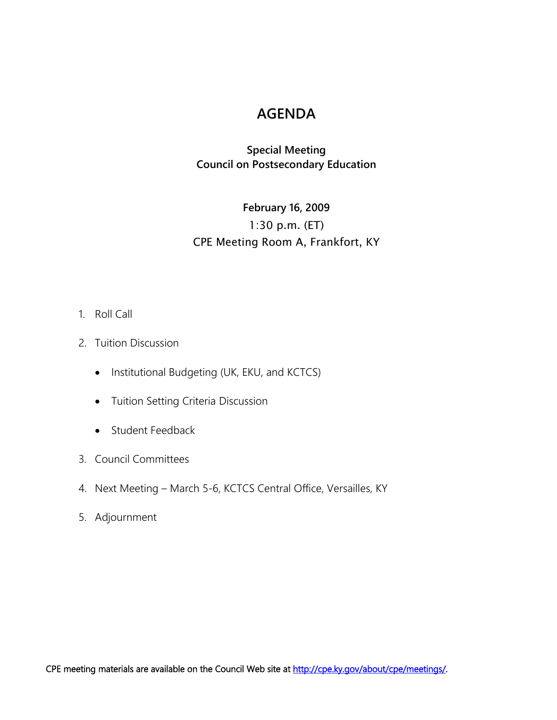# **AGENDA**

## **Special Meeting Council on Postsecondary Education**

# **February 16, 2009** 1:30 p.m. (ET) CPE Meeting Room A, Frankfort, KY

#### 1. Roll Call

- 2. Tuition Discussion
	- Institutional Budgeting (UK, EKU, and KCTCS)
	- Tuition Setting Criteria Discussion
	- Student Feedback
- 3. Council Committees
- 4. Next Meeting March 5-6, KCTCS Central Office, Versailles, KY
- 5. Adjournment